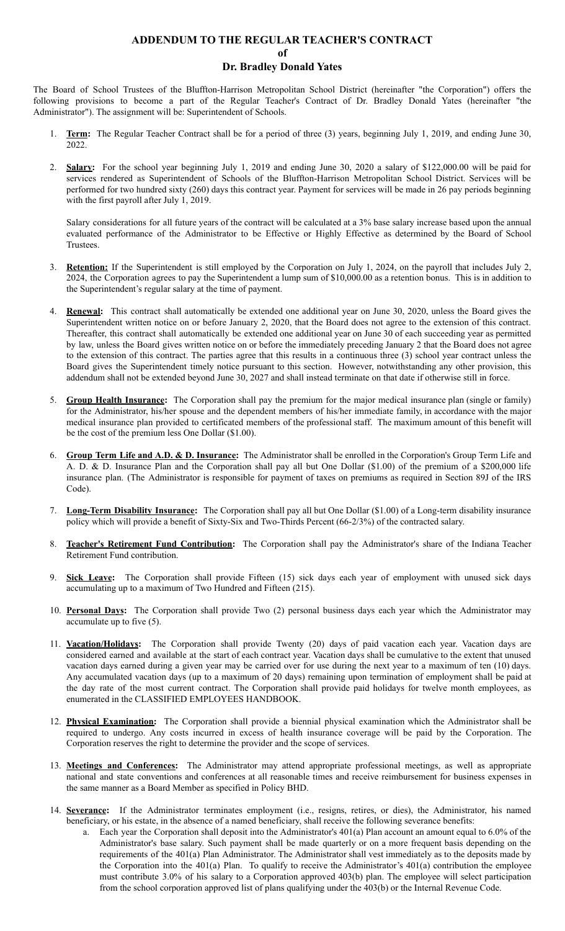## **ADDENDUM TO THE REGULAR TEACHER'S CONTRACT of Dr. Bradley Donald Yates**

The Board of School Trustees of the Bluffton-Harrison Metropolitan School District (hereinafter "the Corporation") offers the following provisions to become a part of the Regular Teacher's Contract of Dr. Bradley Donald Yates (hereinafter "the Administrator"). The assignment will be: Superintendent of Schools.

- 1. **Term:** The Regular Teacher Contract shall be for a period of three (3) years, beginning July 1, 2019, and ending June 30, 2022.
- 2. **Salary:** For the school year beginning July 1, 2019 and ending June 30, 2020 a salary of \$122,000.00 will be paid for services rendered as Superintendent of Schools of the Bluffton-Harrison Metropolitan School District. Services will be performed for two hundred sixty (260) days this contract year. Payment for services will be made in 26 pay periods beginning with the first payroll after July 1, 2019.

Salary considerations for all future years of the contract will be calculated at a 3% base salary increase based upon the annual evaluated performance of the Administrator to be Effective or Highly Effective as determined by the Board of School Trustees.

- 3. **Retention:** If the Superintendent is still employed by the Corporation on July 1, 2024, on the payroll that includes July 2, 2024, the Corporation agrees to pay the Superintendent a lump sum of \$10,000.00 as a retention bonus. This is in addition to the Superintendent's regular salary at the time of payment.
- 4. **Renewal:** This contract shall automatically be extended one additional year on June 30, 2020, unless the Board gives the Superintendent written notice on or before January 2, 2020, that the Board does not agree to the extension of this contract. Thereafter, this contract shall automatically be extended one additional year on June 30 of each succeeding year as permitted by law, unless the Board gives written notice on or before the immediately preceding January 2 that the Board does not agree to the extension of this contract. The parties agree that this results in a continuous three (3) school year contract unless the Board gives the Superintendent timely notice pursuant to this section. However, notwithstanding any other provision, this addendum shall not be extended beyond June 30, 2027 and shall instead terminate on that date if otherwise still in force.
- 5. **Group Health Insurance:** The Corporation shall pay the premium for the major medical insurance plan (single or family) for the Administrator, his/her spouse and the dependent members of his/her immediate family, in accordance with the major medical insurance plan provided to certificated members of the professional staff. The maximum amount of this benefit will be the cost of the premium less One Dollar (\$1.00).
- 6. **Group Term Life and A.D. & D. Insurance:** The Administrator shall be enrolled in the Corporation's Group Term Life and A. D. & D. Insurance Plan and the Corporation shall pay all but One Dollar (\$1.00) of the premium of a \$200,000 life insurance plan. (The Administrator is responsible for payment of taxes on premiums as required in Section 89J of the IRS Code).
- 7. **Long-Term Disability Insurance:** The Corporation shall pay all but One Dollar (\$1.00) of a Long-term disability insurance policy which will provide a benefit of Sixty-Six and Two-Thirds Percent (66-2/3%) of the contracted salary.
- 8. **Teacher's Retirement Fund Contribution:** The Corporation shall pay the Administrator's share of the Indiana Teacher Retirement Fund contribution.
- 9. **Sick Leave:** The Corporation shall provide Fifteen (15) sick days each year of employment with unused sick days accumulating up to a maximum of Two Hundred and Fifteen (215).
- 10. **Personal Days:** The Corporation shall provide Two (2) personal business days each year which the Administrator may accumulate up to five (5).
- 11. **Vacation/Holidays:** The Corporation shall provide Twenty (20) days of paid vacation each year. Vacation days are considered earned and available at the start of each contract year. Vacation days shall be cumulative to the extent that unused vacation days earned during a given year may be carried over for use during the next year to a maximum of ten (10) days. Any accumulated vacation days (up to a maximum of 20 days) remaining upon termination of employment shall be paid at the day rate of the most current contract. The Corporation shall provide paid holidays for twelve month employees, as enumerated in the CLASSIFIED EMPLOYEES HANDBOOK.
- 12. **Physical Examination:** The Corporation shall provide a biennial physical examination which the Administrator shall be required to undergo. Any costs incurred in excess of health insurance coverage will be paid by the Corporation. The Corporation reserves the right to determine the provider and the scope of services.
- 13. **Meetings and Conferences:** The Administrator may attend appropriate professional meetings, as well as appropriate national and state conventions and conferences at all reasonable times and receive reimbursement for business expenses in the same manner as a Board Member as specified in Policy BHD.
- 14. **Severance:** If the Administrator terminates employment (i.e., resigns, retires, or dies), the Administrator, his named beneficiary, or his estate, in the absence of a named beneficiary, shall receive the following severance benefits:
	- a. Each year the Corporation shall deposit into the Administrator's  $401(a)$  Plan account an amount equal to 6.0% of the Administrator's base salary. Such payment shall be made quarterly or on a more frequent basis depending on the requirements of the 401(a) Plan Administrator. The Administrator shall vest immediately as to the deposits made by the Corporation into the  $401(a)$  Plan. To qualify to receive the Administrator's  $401(a)$  contribution the employee must contribute 3.0% of his salary to a Corporation approved 403(b) plan. The employee will select participation from the school corporation approved list of plans qualifying under the 403(b) or the Internal Revenue Code.